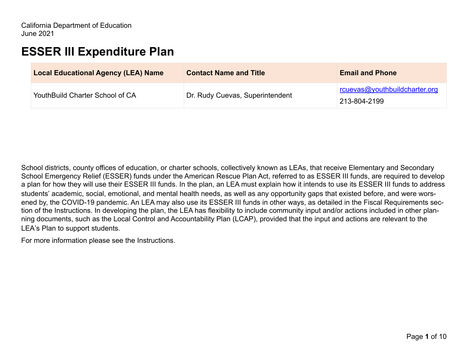# **ESSER III Expenditure Plan**

| <b>Local Educational Agency (LEA) Name</b> | <b>Contact Name and Title</b>   | <b>Email and Phone</b>                               |
|--------------------------------------------|---------------------------------|------------------------------------------------------|
| YouthBuild Charter School of CA            | Dr. Rudy Cuevas, Superintendent | <u>rcuevas@youthbuildcharter.org</u><br>213-804-2199 |

School districts, county offices of education, or charter schools, collectively known as LEAs, that receive Elementary and Secondary School Emergency Relief (ESSER) funds under the American Rescue Plan Act, referred to as ESSER III funds, are required to develop a plan for how they will use their ESSER III funds. In the plan, an LEA must explain how it intends to use its ESSER III funds to address students' academic, social, emotional, and mental health needs, as well as any opportunity gaps that existed before, and were worsened by, the COVID-19 pandemic. An LEA may also use its ESSER III funds in other ways, as detailed in the Fiscal Requirements section of the Instructions. In developing the plan, the LEA has flexibility to include community input and/or actions included in other planning documents, such as the Local Control and Accountability Plan (LCAP), provided that the input and actions are relevant to the LEA's Plan to support students.

For more information please see the Instructions.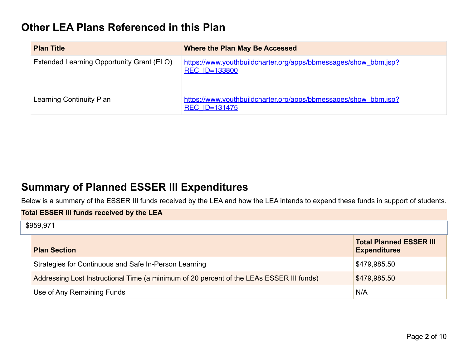# **Other LEA Plans Referenced in this Plan**

| <b>Plan Title</b>                         | Where the Plan May Be Accessed                                                          |
|-------------------------------------------|-----------------------------------------------------------------------------------------|
| Extended Learning Opportunity Grant (ELO) | https://www.youthbuildcharter.org/apps/bbmessages/show_bbm.jsp?<br><b>REC ID=133800</b> |
| Learning Continuity Plan                  | https://www.youthbuildcharter.org/apps/bbmessages/show_bbm.jsp?<br><b>REC ID=131475</b> |

# **Summary of Planned ESSER III Expenditures**

Below is a summary of the ESSER III funds received by the LEA and how the LEA intends to expend these funds in support of students.

| <b>Total ESSER III funds received by the LEA</b>                                         |                                                       |  |
|------------------------------------------------------------------------------------------|-------------------------------------------------------|--|
| \$959,971                                                                                |                                                       |  |
| <b>Plan Section</b>                                                                      | <b>Total Planned ESSER III</b><br><b>Expenditures</b> |  |
| Strategies for Continuous and Safe In-Person Learning                                    | \$479,985.50                                          |  |
| Addressing Lost Instructional Time (a minimum of 20 percent of the LEAs ESSER III funds) | \$479,985.50                                          |  |
| Use of Any Remaining Funds                                                               | N/A                                                   |  |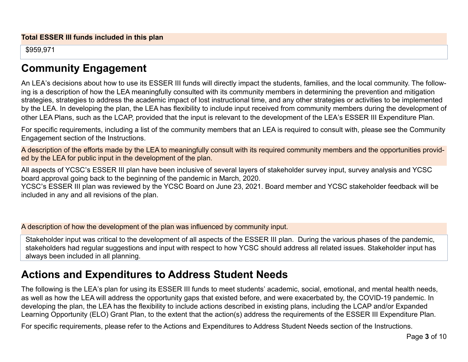\$959,971

# **Community Engagement**

An LEA's decisions about how to use its ESSER III funds will directly impact the students, families, and the local community. The following is a description of how the LEA meaningfully consulted with its community members in determining the prevention and mitigation strategies, strategies to address the academic impact of lost instructional time, and any other strategies or activities to be implemented by the LEA. In developing the plan, the LEA has flexibility to include input received from community members during the development of other LEA Plans, such as the LCAP, provided that the input is relevant to the development of the LEA's ESSER III Expenditure Plan.

For specific requirements, including a list of the community members that an LEA is required to consult with, please see the Community Engagement section of the Instructions.

A description of the efforts made by the LEA to meaningfully consult with its required community members and the opportunities provided by the LEA for public input in the development of the plan.

All aspects of YCSC's ESSER III plan have been inclusive of several layers of stakeholder survey input, survey analysis and YCSC board approval going back to the beginning of the pandemic in March, 2020.

YCSC's ESSER III plan was reviewed by the YCSC Board on June 23, 2021. Board member and YCSC stakeholder feedback will be included in any and all revisions of the plan.

A description of how the development of the plan was influenced by community input.

Stakeholder input was critical to the development of all aspects of the ESSER III plan. During the various phases of the pandemic, stakeholders had regular suggestions and input with respect to how YCSC should address all related issues. Stakeholder input has always been included in all planning.

# **Actions and Expenditures to Address Student Needs**

The following is the LEA's plan for using its ESSER III funds to meet students' academic, social, emotional, and mental health needs, as well as how the LEA will address the opportunity gaps that existed before, and were exacerbated by, the COVID-19 pandemic. In developing the plan, the LEA has the flexibility to include actions described in existing plans, including the LCAP and/or Expanded Learning Opportunity (ELO) Grant Plan, to the extent that the action(s) address the requirements of the ESSER III Expenditure Plan.

For specific requirements, please refer to the Actions and Expenditures to Address Student Needs section of the Instructions.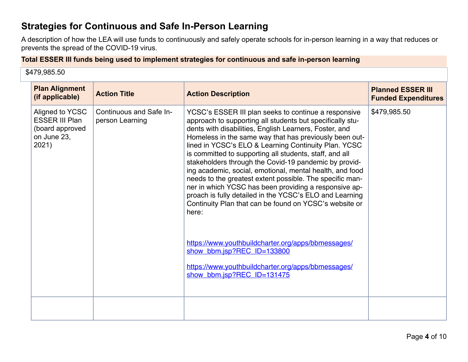### **Strategies for Continuous and Safe In-Person Learning**

A description of how the LEA will use funds to continuously and safely operate schools for in-person learning in a way that reduces or prevents the spread of the COVID-19 virus.

### **Total ESSER III funds being used to implement strategies for continuous and safe in-person learning**

\$479,985.50

| <b>Plan Alignment</b><br>(if applicable)                                            | <b>Action Title</b>                        | <b>Action Description</b>                                                                                                                                                                                                                                                                                                                                                                                                                                                                                                                                                                                                                                                                                                                                                                                                                                                                                | <b>Planned ESSER III</b><br><b>Funded Expenditures</b> |
|-------------------------------------------------------------------------------------|--------------------------------------------|----------------------------------------------------------------------------------------------------------------------------------------------------------------------------------------------------------------------------------------------------------------------------------------------------------------------------------------------------------------------------------------------------------------------------------------------------------------------------------------------------------------------------------------------------------------------------------------------------------------------------------------------------------------------------------------------------------------------------------------------------------------------------------------------------------------------------------------------------------------------------------------------------------|--------------------------------------------------------|
| Aligned to YCSC<br><b>ESSER III Plan</b><br>(board approved<br>on June 23,<br>2021) | Continuous and Safe In-<br>person Learning | YCSC's ESSER III plan seeks to continue a responsive<br>approach to supporting all students but specifically stu-<br>dents with disabilities, English Learners, Foster, and<br>Homeless in the same way that has previously been out-<br>lined in YCSC's ELO & Learning Continuity Plan. YCSC<br>is committed to supporting all students, staff, and all<br>stakeholders through the Covid-19 pandemic by provid-<br>ing academic, social, emotional, mental health, and food<br>needs to the greatest extent possible. The specific man-<br>ner in which YCSC has been providing a responsive ap-<br>proach is fully detailed in the YCSC's ELO and Learning<br>Continuity Plan that can be found on YCSC's website or<br>here:<br>https://www.youthbuildcharter.org/apps/bbmessages/<br>show bbm.jsp?REC ID=133800<br>https://www.youthbuildcharter.org/apps/bbmessages/<br>show bbm.jsp?REC_ID=131475 | \$479,985.50                                           |
|                                                                                     |                                            |                                                                                                                                                                                                                                                                                                                                                                                                                                                                                                                                                                                                                                                                                                                                                                                                                                                                                                          |                                                        |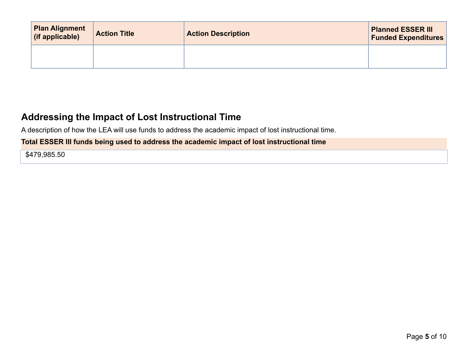| <b>Plan Alignment</b><br>(if applicable) | <b>Action Title</b> | <b>Action Description</b> | <b>Planned ESSER III</b><br><b>Funded Expenditures</b> |
|------------------------------------------|---------------------|---------------------------|--------------------------------------------------------|
|                                          |                     |                           |                                                        |

## **Addressing the Impact of Lost Instructional Time**

A description of how the LEA will use funds to address the academic impact of lost instructional time.

### **Total ESSER III funds being used to address the academic impact of lost instructional time**

\$479,985.50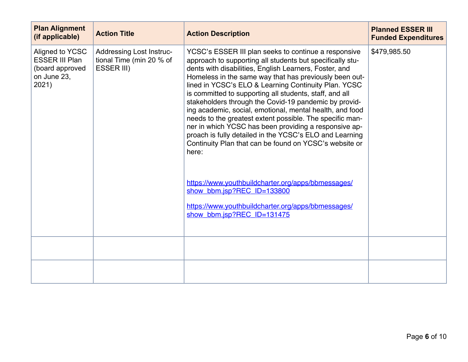| <b>Plan Alignment</b><br>(if applicable)                                            | <b>Action Title</b>                                                              | <b>Action Description</b>                                                                                                                                                                                                                                                                                                                                                                                                                                                                                                                                                                                                                                                                                                                                                                                                                                                                                | <b>Planned ESSER III</b><br><b>Funded Expenditures</b> |
|-------------------------------------------------------------------------------------|----------------------------------------------------------------------------------|----------------------------------------------------------------------------------------------------------------------------------------------------------------------------------------------------------------------------------------------------------------------------------------------------------------------------------------------------------------------------------------------------------------------------------------------------------------------------------------------------------------------------------------------------------------------------------------------------------------------------------------------------------------------------------------------------------------------------------------------------------------------------------------------------------------------------------------------------------------------------------------------------------|--------------------------------------------------------|
| Aligned to YCSC<br><b>ESSER III Plan</b><br>(board approved<br>on June 23,<br>2021) | <b>Addressing Lost Instruc-</b><br>tional Time (min 20 % of<br><b>ESSER III)</b> | YCSC's ESSER III plan seeks to continue a responsive<br>approach to supporting all students but specifically stu-<br>dents with disabilities, English Learners, Foster, and<br>Homeless in the same way that has previously been out-<br>lined in YCSC's ELO & Learning Continuity Plan. YCSC<br>is committed to supporting all students, staff, and all<br>stakeholders through the Covid-19 pandemic by provid-<br>ing academic, social, emotional, mental health, and food<br>needs to the greatest extent possible. The specific man-<br>ner in which YCSC has been providing a responsive ap-<br>proach is fully detailed in the YCSC's ELO and Learning<br>Continuity Plan that can be found on YCSC's website or<br>here:<br>https://www.youthbuildcharter.org/apps/bbmessages/<br>show bbm.jsp?REC_ID=133800<br>https://www.youthbuildcharter.org/apps/bbmessages/<br>show bbm.jsp?REC ID=131475 | \$479,985.50                                           |
|                                                                                     |                                                                                  |                                                                                                                                                                                                                                                                                                                                                                                                                                                                                                                                                                                                                                                                                                                                                                                                                                                                                                          |                                                        |
|                                                                                     |                                                                                  |                                                                                                                                                                                                                                                                                                                                                                                                                                                                                                                                                                                                                                                                                                                                                                                                                                                                                                          |                                                        |
|                                                                                     |                                                                                  |                                                                                                                                                                                                                                                                                                                                                                                                                                                                                                                                                                                                                                                                                                                                                                                                                                                                                                          |                                                        |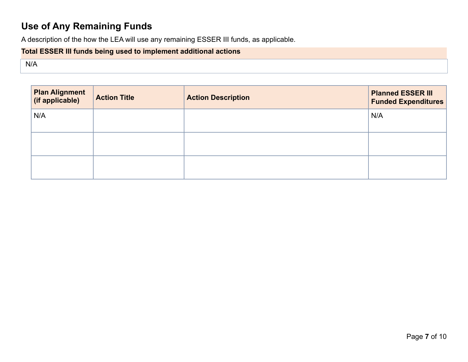# **Use of Any Remaining Funds**

A description of the how the LEA will use any remaining ESSER III funds, as applicable.

### **Total ESSER III funds being used to implement additional actions**

N/A

| <b>Plan Alignment</b><br>(if applicable) | <b>Action Title</b> | <b>Action Description</b> | <b>Planned ESSER III</b><br><b>Funded Expenditures</b> |
|------------------------------------------|---------------------|---------------------------|--------------------------------------------------------|
| N/A                                      |                     |                           | N/A                                                    |
|                                          |                     |                           |                                                        |
|                                          |                     |                           |                                                        |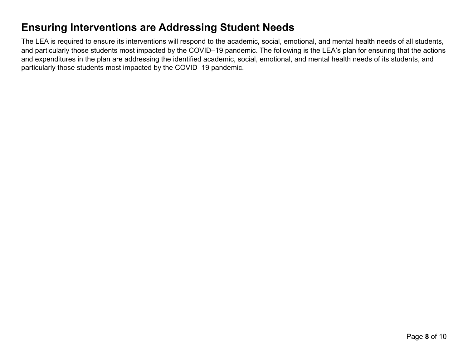# **Ensuring Interventions are Addressing Student Needs**

The LEA is required to ensure its interventions will respond to the academic, social, emotional, and mental health needs of all students, and particularly those students most impacted by the COVID–19 pandemic. The following is the LEA's plan for ensuring that the actions and expenditures in the plan are addressing the identified academic, social, emotional, and mental health needs of its students, and particularly those students most impacted by the COVID–19 pandemic.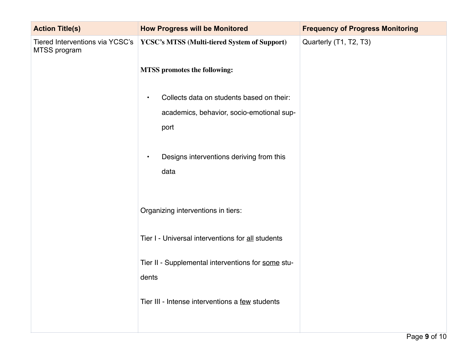| <b>Action Title(s)</b>                          | <b>How Progress will be Monitored</b>                  | <b>Frequency of Progress Monitoring</b> |
|-------------------------------------------------|--------------------------------------------------------|-----------------------------------------|
| Tiered Interventions via YCSC's<br>MTSS program | YCSC's MTSS (Multi-tiered System of Support)           | Quarterly (T1, T2, T3)                  |
|                                                 | <b>MTSS</b> promotes the following:                    |                                         |
|                                                 | Collects data on students based on their:<br>$\bullet$ |                                         |
|                                                 | academics, behavior, socio-emotional sup-              |                                         |
|                                                 | port                                                   |                                         |
|                                                 | Designs interventions deriving from this<br>$\bullet$  |                                         |
|                                                 | data                                                   |                                         |
|                                                 | Organizing interventions in tiers:                     |                                         |
|                                                 | Tier I - Universal interventions for all students      |                                         |
|                                                 | Tier II - Supplemental interventions for some stu-     |                                         |
|                                                 | dents                                                  |                                         |
|                                                 | Tier III - Intense interventions a few students        |                                         |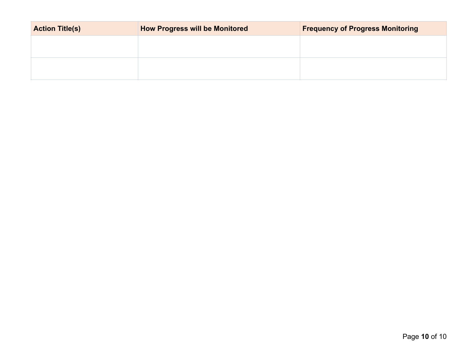| <b>Action Title(s)</b> | <b>How Progress will be Monitored</b> | <b>Frequency of Progress Monitoring</b> |
|------------------------|---------------------------------------|-----------------------------------------|
|                        |                                       |                                         |
|                        |                                       |                                         |
|                        |                                       |                                         |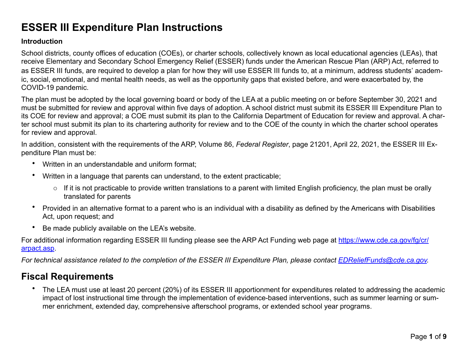# **ESSER III Expenditure Plan Instructions**

### **Introduction**

School districts, county offices of education (COEs), or charter schools, collectively known as local educational agencies (LEAs), that receive Elementary and Secondary School Emergency Relief (ESSER) funds under the American Rescue Plan (ARP) Act, referred to as ESSER III funds, are required to develop a plan for how they will use ESSER III funds to, at a minimum, address students' academic, social, emotional, and mental health needs, as well as the opportunity gaps that existed before, and were exacerbated by, the COVID-19 pandemic.

The plan must be adopted by the local governing board or body of the LEA at a public meeting on or before September 30, 2021 and must be submitted for review and approval within five days of adoption. A school district must submit its ESSER III Expenditure Plan to its COE for review and approval; a COE must submit its plan to the California Department of Education for review and approval. A charter school must submit its plan to its chartering authority for review and to the COE of the county in which the charter school operates for review and approval.

In addition, consistent with the requirements of the ARP, Volume 86, *Federal Register*, page 21201, April 22, 2021, the ESSER III Expenditure Plan must be:

- Written in an understandable and uniform format;
- Written in a language that parents can understand, to the extent practicable;
	- $\circ$  If it is not practicable to provide written translations to a parent with limited English proficiency, the plan must be orally translated for parents
- Provided in an alternative format to a parent who is an individual with a disability as defined by the Americans with Disabilities Act, upon request; and
- Be made publicly available on the LEA's website.

For additional information regarding ESSER III funding please see the ARP Act Funding web page at [https://www.cde.ca.gov/fg/cr/](https://www.cde.ca.gov/fg/cr/arpact.asp) [arpact.asp](https://www.cde.ca.gov/fg/cr/arpact.asp).

*For technical assistance related to the completion of the ESSER III Expenditure Plan, please contact [EDReliefFunds@cde.ca.gov.](mailto:EDReliefFunds@cde.ca.gov)* 

## **Fiscal Requirements**

• The LEA must use at least 20 percent (20%) of its ESSER III apportionment for expenditures related to addressing the academic impact of lost instructional time through the implementation of evidence-based interventions, such as summer learning or summer enrichment, extended day, comprehensive afterschool programs, or extended school year programs.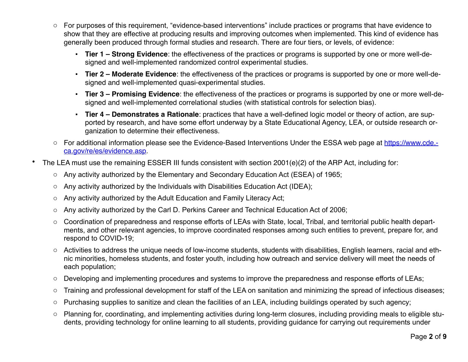- o For purposes of this requirement, "evidence-based interventions" include practices or programs that have evidence to show that they are effective at producing results and improving outcomes when implemented. This kind of evidence has generally been produced through formal studies and research. There are four tiers, or levels, of evidence:
	- # **Tier 1 Strong Evidence**: the effectiveness of the practices or programs is supported by one or more well-designed and well-implemented randomized control experimental studies.
	- # **Tier 2 Moderate Evidence**: the effectiveness of the practices or programs is supported by one or more well-designed and well-implemented quasi-experimental studies.
	- # **Tier 3 Promising Evidence**: the effectiveness of the practices or programs is supported by one or more well-designed and well-implemented correlational studies (with statistical controls for selection bias).
	- # **Tier 4 Demonstrates a Rationale**: practices that have a well-defined logic model or theory of action, are supported by research, and have some effort underway by a State Educational Agency, LEA, or outside research organization to determine their effectiveness.
- o For additional information please see the Evidence-Based Interventions Under the ESSA web page at [https://www.cde.](https://www.cde.ca.gov/re/es/evidence.asp) [ca.gov/re/es/evidence.asp](https://www.cde.ca.gov/re/es/evidence.asp).
- The LEA must use the remaining ESSER III funds consistent with section 2001(e)(2) of the ARP Act, including for:
	- o Any activity authorized by the Elementary and Secondary Education Act (ESEA) of 1965;
	- o Any activity authorized by the Individuals with Disabilities Education Act (IDEA);
	- o Any activity authorized by the Adult Education and Family Literacy Act;
	- o Any activity authorized by the Carl D. Perkins Career and Technical Education Act of 2006;
	- o Coordination of preparedness and response efforts of LEAs with State, local, Tribal, and territorial public health departments, and other relevant agencies, to improve coordinated responses among such entities to prevent, prepare for, and respond to COVID-19;
	- o Activities to address the unique needs of low-income students, students with disabilities, English learners, racial and ethnic minorities, homeless students, and foster youth, including how outreach and service delivery will meet the needs of each population;
	- o Developing and implementing procedures and systems to improve the preparedness and response efforts of LEAs;
	- o Training and professional development for staff of the LEA on sanitation and minimizing the spread of infectious diseases;
	- o Purchasing supplies to sanitize and clean the facilities of an LEA, including buildings operated by such agency;
	- o Planning for, coordinating, and implementing activities during long-term closures, including providing meals to eligible students, providing technology for online learning to all students, providing guidance for carrying out requirements under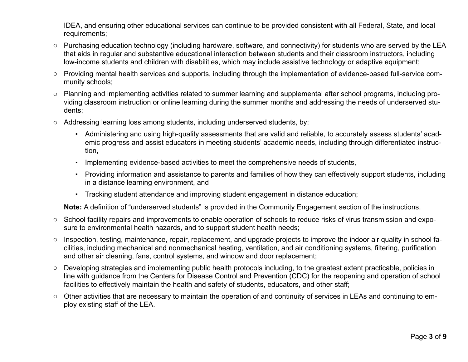IDEA, and ensuring other educational services can continue to be provided consistent with all Federal, State, and local requirements;

- o Purchasing education technology (including hardware, software, and connectivity) for students who are served by the LEA that aids in regular and substantive educational interaction between students and their classroom instructors, including low-income students and children with disabilities, which may include assistive technology or adaptive equipment;
- o Providing mental health services and supports, including through the implementation of evidence-based full-service community schools;
- o Planning and implementing activities related to summer learning and supplemental after school programs, including providing classroom instruction or online learning during the summer months and addressing the needs of underserved students;
- o Addressing learning loss among students, including underserved students, by:
	- # Administering and using high-quality assessments that are valid and reliable, to accurately assess students' academic progress and assist educators in meeting students' academic needs, including through differentiated instruction,
	- . Implementing evidence-based activities to meet the comprehensive needs of students,
	- # Providing information and assistance to parents and families of how they can effectively support students, including in a distance learning environment, and
	- . Tracking student attendance and improving student engagement in distance education;

**Note:** A definition of "underserved students" is provided in the Community Engagement section of the instructions.

- o School facility repairs and improvements to enable operation of schools to reduce risks of virus transmission and exposure to environmental health hazards, and to support student health needs;
- o Inspection, testing, maintenance, repair, replacement, and upgrade projects to improve the indoor air quality in school facilities, including mechanical and nonmechanical heating, ventilation, and air conditioning systems, filtering, purification and other air cleaning, fans, control systems, and window and door replacement;
- o Developing strategies and implementing public health protocols including, to the greatest extent practicable, policies in line with guidance from the Centers for Disease Control and Prevention (CDC) for the reopening and operation of school facilities to effectively maintain the health and safety of students, educators, and other staff;
- o Other activities that are necessary to maintain the operation of and continuity of services in LEAs and continuing to employ existing staff of the LEA.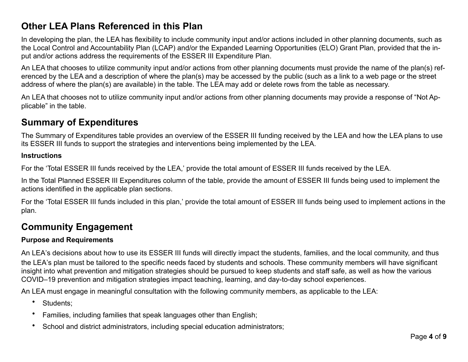### **Other LEA Plans Referenced in this Plan**

In developing the plan, the LEA has flexibility to include community input and/or actions included in other planning documents, such as the Local Control and Accountability Plan (LCAP) and/or the Expanded Learning Opportunities (ELO) Grant Plan, provided that the input and/or actions address the requirements of the ESSER III Expenditure Plan.

An LEA that chooses to utilize community input and/or actions from other planning documents must provide the name of the plan(s) referenced by the LEA and a description of where the plan(s) may be accessed by the public (such as a link to a web page or the street address of where the plan(s) are available) in the table. The LEA may add or delete rows from the table as necessary.

An LEA that chooses not to utilize community input and/or actions from other planning documents may provide a response of "Not Applicable" in the table.

### **Summary of Expenditures**

The Summary of Expenditures table provides an overview of the ESSER III funding received by the LEA and how the LEA plans to use its ESSER III funds to support the strategies and interventions being implemented by the LEA.

#### **Instructions**

For the 'Total ESSER III funds received by the LEA,' provide the total amount of ESSER III funds received by the LEA.

In the Total Planned ESSER III Expenditures column of the table, provide the amount of ESSER III funds being used to implement the actions identified in the applicable plan sections.

For the 'Total ESSER III funds included in this plan,' provide the total amount of ESSER III funds being used to implement actions in the plan.

## **Community Engagement**

### **Purpose and Requirements**

An LEA's decisions about how to use its ESSER III funds will directly impact the students, families, and the local community, and thus the LEA's plan must be tailored to the specific needs faced by students and schools. These community members will have significant insight into what prevention and mitigation strategies should be pursued to keep students and staff safe, as well as how the various COVID–19 prevention and mitigation strategies impact teaching, learning, and day-to-day school experiences.

An LEA must engage in meaningful consultation with the following community members, as applicable to the LEA:

- Students;
- Families, including families that speak languages other than English;
- School and district administrators, including special education administrators;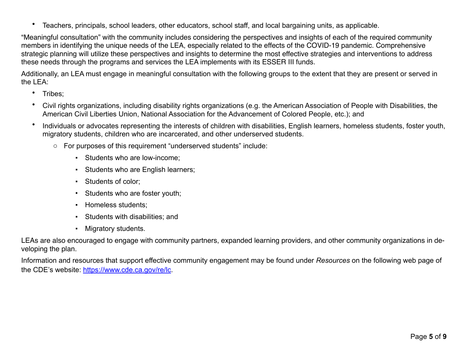• Teachers, principals, school leaders, other educators, school staff, and local bargaining units, as applicable.

"Meaningful consultation" with the community includes considering the perspectives and insights of each of the required community members in identifying the unique needs of the LEA, especially related to the effects of the COVID-19 pandemic. Comprehensive strategic planning will utilize these perspectives and insights to determine the most effective strategies and interventions to address these needs through the programs and services the LEA implements with its ESSER III funds.

Additionally, an LEA must engage in meaningful consultation with the following groups to the extent that they are present or served in the LEA:

- Tribes;
- Civil rights organizations, including disability rights organizations (e.g. the American Association of People with Disabilities, the American Civil Liberties Union, National Association for the Advancement of Colored People, etc.); and
- Individuals or advocates representing the interests of children with disabilities, English learners, homeless students, foster youth, migratory students, children who are incarcerated, and other underserved students.
	- o For purposes of this requirement "underserved students" include:
		- Students who are low-income:
		- Students who are English learners;
		- Students of color:
		- Students who are foster youth;
		- **·** Homeless students:
		- **Students with disabilities; and**
		- Migratory students.

LEAs are also encouraged to engage with community partners, expanded learning providers, and other community organizations in developing the plan.

Information and resources that support effective community engagement may be found under *Resources* on the following web page of the CDE's website: <https://www.cde.ca.gov/re/lc>.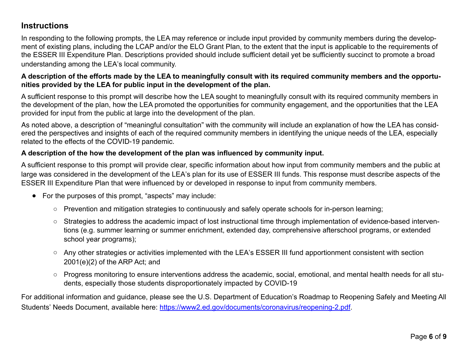### **Instructions**

In responding to the following prompts, the LEA may reference or include input provided by community members during the development of existing plans, including the LCAP and/or the ELO Grant Plan, to the extent that the input is applicable to the requirements of the ESSER III Expenditure Plan. Descriptions provided should include sufficient detail yet be sufficiently succinct to promote a broad understanding among the LEA's local community.

### **A description of the efforts made by the LEA to meaningfully consult with its required community members and the opportunities provided by the LEA for public input in the development of the plan.**

A sufficient response to this prompt will describe how the LEA sought to meaningfully consult with its required community members in the development of the plan, how the LEA promoted the opportunities for community engagement, and the opportunities that the LEA provided for input from the public at large into the development of the plan.

As noted above, a description of "meaningful consultation" with the community will include an explanation of how the LEA has considered the perspectives and insights of each of the required community members in identifying the unique needs of the LEA, especially related to the effects of the COVID-19 pandemic.

### **A description of the how the development of the plan was influenced by community input.**

A sufficient response to this prompt will provide clear, specific information about how input from community members and the public at large was considered in the development of the LEA's plan for its use of ESSER III funds. This response must describe aspects of the ESSER III Expenditure Plan that were influenced by or developed in response to input from community members.

- $\bullet$  For the purposes of this prompt, "aspects" may include:
	- Prevention and mitigation strategies to continuously and safely operate schools for in-person learning;
	- Strategies to address the academic impact of lost instructional time through implementation of evidence-based interventions (e.g. summer learning or summer enrichment, extended day, comprehensive afterschool programs, or extended school year programs);
	- Any other strategies or activities implemented with the LEA's ESSER III fund apportionment consistent with section 2001(e)(2) of the ARP Act; and
	- Progress monitoring to ensure interventions address the academic, social, emotional, and mental health needs for all students, especially those students disproportionately impacted by COVID-19

For additional information and guidance, please see the U.S. Department of Education's Roadmap to Reopening Safely and Meeting All Students' Needs Document, available here: [https://www2.ed.gov/documents/coronavirus/reopening-2.pdf.](https://www2.ed.gov/documents/coronavirus/reopening-2.pdf)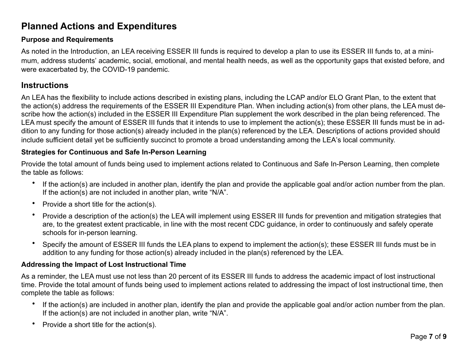### **Planned Actions and Expenditures**

#### **Purpose and Requirements**

As noted in the Introduction, an LEA receiving ESSER III funds is required to develop a plan to use its ESSER III funds to, at a minimum, address students' academic, social, emotional, and mental health needs, as well as the opportunity gaps that existed before, and were exacerbated by, the COVID-19 pandemic.

### **Instructions**

An LEA has the flexibility to include actions described in existing plans, including the LCAP and/or ELO Grant Plan, to the extent that the action(s) address the requirements of the ESSER III Expenditure Plan. When including action(s) from other plans, the LEA must describe how the action(s) included in the ESSER III Expenditure Plan supplement the work described in the plan being referenced. The LEA must specify the amount of ESSER III funds that it intends to use to implement the action(s); these ESSER III funds must be in addition to any funding for those action(s) already included in the plan(s) referenced by the LEA. Descriptions of actions provided should include sufficient detail yet be sufficiently succinct to promote a broad understanding among the LEA's local community.

#### **Strategies for Continuous and Safe In-Person Learning**

Provide the total amount of funds being used to implement actions related to Continuous and Safe In-Person Learning, then complete the table as follows:

- If the action(s) are included in another plan, identify the plan and provide the applicable goal and/or action number from the plan. If the action(s) are not included in another plan, write "N/A".
- Provide a short title for the action(s).
- Provide a description of the action(s) the LEA will implement using ESSER III funds for prevention and mitigation strategies that are, to the greatest extent practicable, in line with the most recent CDC guidance, in order to continuously and safely operate schools for in-person learning.
- Specify the amount of ESSER III funds the LEA plans to expend to implement the action(s); these ESSER III funds must be in addition to any funding for those action(s) already included in the plan(s) referenced by the LEA.

#### **Addressing the Impact of Lost Instructional Time**

As a reminder, the LEA must use not less than 20 percent of its ESSER III funds to address the academic impact of lost instructional time. Provide the total amount of funds being used to implement actions related to addressing the impact of lost instructional time, then complete the table as follows:

- If the action(s) are included in another plan, identify the plan and provide the applicable goal and/or action number from the plan. If the action(s) are not included in another plan, write "N/A".
- Provide a short title for the action(s).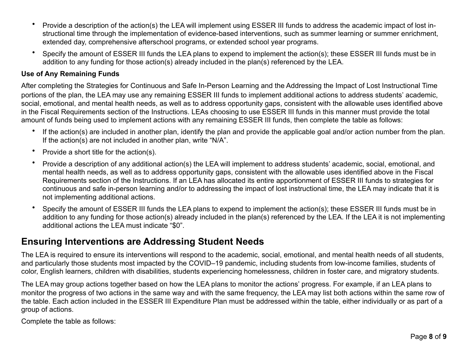- Provide a description of the action(s) the LEA will implement using ESSER III funds to address the academic impact of lost instructional time through the implementation of evidence-based interventions, such as summer learning or summer enrichment, extended day, comprehensive afterschool programs, or extended school year programs.
- Specify the amount of ESSER III funds the LEA plans to expend to implement the action(s); these ESSER III funds must be in addition to any funding for those action(s) already included in the plan(s) referenced by the LEA.

#### **Use of Any Remaining Funds**

After completing the Strategies for Continuous and Safe In-Person Learning and the Addressing the Impact of Lost Instructional Time portions of the plan, the LEA may use any remaining ESSER III funds to implement additional actions to address students' academic, social, emotional, and mental health needs, as well as to address opportunity gaps, consistent with the allowable uses identified above in the Fiscal Requirements section of the Instructions. LEAs choosing to use ESSER III funds in this manner must provide the total amount of funds being used to implement actions with any remaining ESSER III funds, then complete the table as follows:

- If the action(s) are included in another plan, identify the plan and provide the applicable goal and/or action number from the plan. If the action(s) are not included in another plan, write "N/A".
- Provide a short title for the action(s).
- Provide a description of any additional action(s) the LEA will implement to address students' academic, social, emotional, and mental health needs, as well as to address opportunity gaps, consistent with the allowable uses identified above in the Fiscal Requirements section of the Instructions. If an LEA has allocated its entire apportionment of ESSER III funds to strategies for continuous and safe in-person learning and/or to addressing the impact of lost instructional time, the LEA may indicate that it is not implementing additional actions.
- Specify the amount of ESSER III funds the LEA plans to expend to implement the action(s); these ESSER III funds must be in addition to any funding for those action(s) already included in the plan(s) referenced by the LEA. If the LEA it is not implementing additional actions the LEA must indicate "\$0".

### **Ensuring Interventions are Addressing Student Needs**

The LEA is required to ensure its interventions will respond to the academic, social, emotional, and mental health needs of all students, and particularly those students most impacted by the COVID–19 pandemic, including students from low-income families, students of color, English learners, children with disabilities, students experiencing homelessness, children in foster care, and migratory students.

The LEA may group actions together based on how the LEA plans to monitor the actions' progress. For example, if an LEA plans to monitor the progress of two actions in the same way and with the same frequency, the LEA may list both actions within the same row of the table. Each action included in the ESSER III Expenditure Plan must be addressed within the table, either individually or as part of a group of actions.

Complete the table as follows: